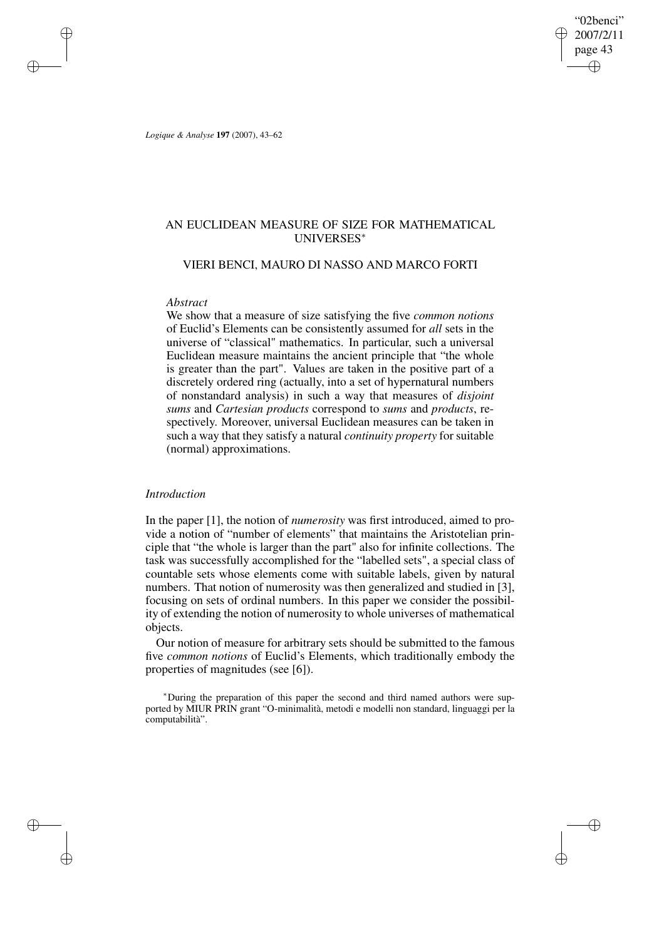"02benci" 2007/2/11 page 43 ✐ ✐

✐

✐

*Logique & Analyse* **197** (2007), 43–62

✐

✐

✐

✐

# AN EUCLIDEAN MEASURE OF SIZE FOR MATHEMATICAL UNIVERSES<sup>∗</sup>

# VIERI BENCI, MAURO DI NASSO AND MARCO FORTI

## *Abstract*

We show that a measure of size satisfying the five *common notions* of Euclid's Elements can be consistently assumed for *all* sets in the universe of "classical" mathematics. In particular, such a universal Euclidean measure maintains the ancient principle that "the whole is greater than the part". Values are taken in the positive part of a discretely ordered ring (actually, into a set of hypernatural numbers of nonstandard analysis) in such a way that measures of *disjoint sums* and *Cartesian products* correspond to *sums* and *products*, respectively. Moreover, universal Euclidean measures can be taken in such a way that they satisfy a natural *continuity property* for suitable (normal) approximations.

# *Introduction*

In the paper [1], the notion of *numerosity* was first introduced, aimed to provide a notion of "number of elements" that maintains the Aristotelian principle that "the whole is larger than the part" also for infinite collections. The task was successfully accomplished for the "labelled sets", a special class of countable sets whose elements come with suitable labels, given by natural numbers. That notion of numerosity was then generalized and studied in [3], focusing on sets of ordinal numbers. In this paper we consider the possibility of extending the notion of numerosity to whole universes of mathematical objects.

Our notion of measure for arbitrary sets should be submitted to the famous five *common notions* of Euclid's Elements, which traditionally embody the properties of magnitudes (see [6]).

<sup>∗</sup>During the preparation of this paper the second and third named authors were supported by MIUR PRIN grant "O-minimalità, metodi e modelli non standard, linguaggi per la computabilità".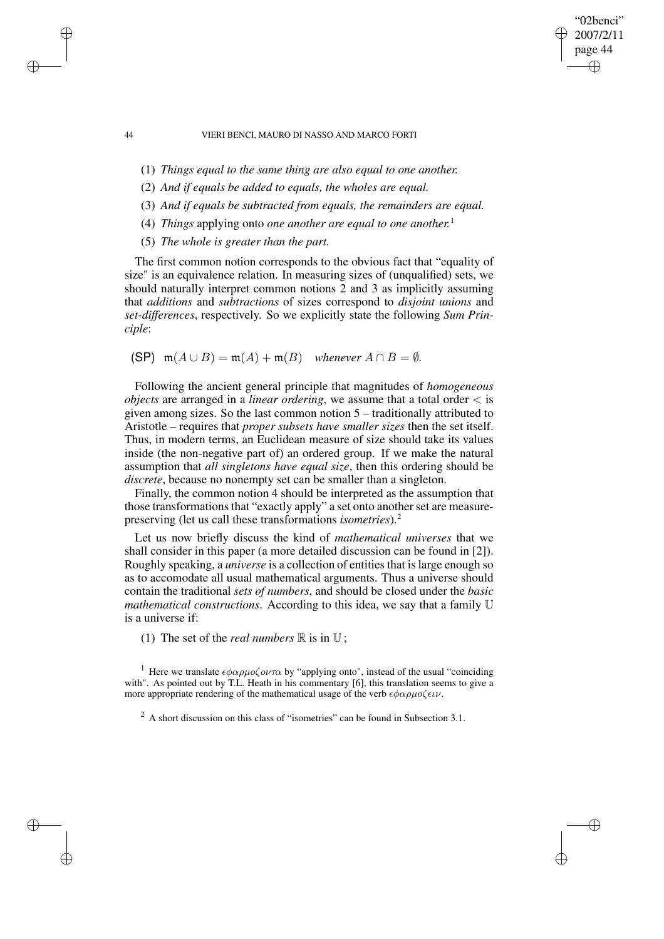"02benci" 2007/2/11 page 44

✐

✐

✐

✐

- (1) *Things equal to the same thing are also equal to one another.*
- (2) *And if equals be added to equals, the wholes are equal.*
- (3) *And if equals be subtracted from equals, the remainders are equal.*
- (4) *Things* applying onto *one another are equal to one another.* 1
- (5) *The whole is greater than the part.*

The first common notion corresponds to the obvious fact that "equality of size" is an equivalence relation. In measuring sizes of (unqualified) sets, we should naturally interpret common notions 2 and 3 as implicitly assuming that *additions* and *subtractions* of sizes correspond to *disjoint unions* and *set-differences*, respectively. So we explicitly state the following *Sum Principle*:

(SP)  $m(A \cup B) = m(A) + m(B)$  *whenever*  $A \cap B = \emptyset$ *.* 

Following the ancient general principle that magnitudes of *homogeneous objects* are arranged in a *linear ordering*, we assume that a total order < is given among sizes. So the last common notion 5 – traditionally attributed to Aristotle – requires that *proper subsets have smaller sizes* then the set itself. Thus, in modern terms, an Euclidean measure of size should take its values inside (the non-negative part of) an ordered group. If we make the natural assumption that *all singletons have equal size*, then this ordering should be *discrete*, because no nonempty set can be smaller than a singleton.

Finally, the common notion 4 should be interpreted as the assumption that those transformations that "exactly apply" a set onto another set are measurepreserving (let us call these transformations *isometries*).<sup>2</sup>

Let us now briefly discuss the kind of *mathematical universes* that we shall consider in this paper (a more detailed discussion can be found in [2]). Roughly speaking, a *universe* is a collection of entitiesthat islarge enough so as to accomodate all usual mathematical arguments. Thus a universe should contain the traditional *sets of numbers*, and should be closed under the *basic mathematical constructions*. According to this idea, we say that a family U is a universe if:

(1) The set of the *real numbers*  $\mathbb R$  is in  $\mathbb U$ ;

<sup>1</sup> Here we translate  $\epsilon \phi \alpha \rho \mu o \zeta \omega \tau \alpha$  by "applying onto", instead of the usual "coinciding with". As pointed out by T.L. Heath in his commentary [6], this translation seems to give a more appropriate rendering of the mathematical usage of the verb  $\epsilon \phi \alpha \rho \mu o \zeta \epsilon \iota \nu$ .

 $^{2}$  A short discussion on this class of "isometries" can be found in Subsection 3.1.

✐

✐

✐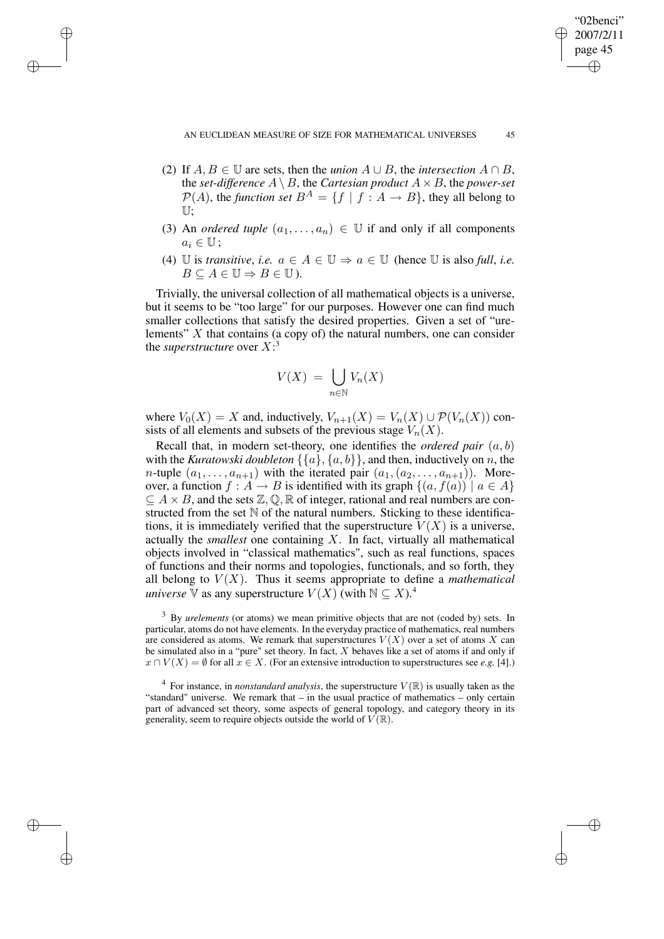✐

✐

✐

"02benci" 2007/2/11 page 45

✐

✐

✐

✐

- (2) If  $A, B \in \mathbb{U}$  are sets, then the *union*  $A \cup B$ , the *intersection*  $A \cap B$ . the *set-difference*  $A \setminus B$ , the *Cartesian product*  $A \times B$ , the *power-set*  $\mathcal{P}(A)$ , the *function set*  $B^A = \{f \mid f : A \rightarrow B\}$ , they all belong to U;
- (3) An *ordered tuple*  $(a_1, \ldots, a_n) \in \mathbb{U}$  if and only if all components  $a_i \in \mathbb{U}$ :
- (4) U is *transitive*, *i.e.*  $a \in A \in \mathbb{U} \Rightarrow a \in \mathbb{U}$  (hence U is also full, *i.e.*  $B \subseteq A \in \mathbb{U} \Rightarrow B \in \mathbb{U}$ ).

Trivially, the universal collection of all mathematical objects is a universe, but it seems to be "too large" for our purposes. However one can find much smaller collections that satisfy the desired properties. Given a set of "urelements"  $X$  that contains (a copy of) the natural numbers, one can consider the *superstructure* over  $X$ :<sup>3</sup>

$$
V(X) = \bigcup_{n \in \mathbb{N}} V_n(X)
$$

where  $V_0(X) = X$  and, inductively,  $V_{n+1}(X) = V_n(X) \cup \mathcal{P}(V_n(X))$  consists of all elements and subsets of the previous stage  $V_n(X)$ .

Recall that, in modern set-theory, one identifies the *ordered pair* (a, b) with the *Kuratowski doubleton*  $\{\{a\}, \{a, b\}\}\$ , and then, inductively on n, the *n*-tuple  $(a_1, \ldots, a_{n+1})$  with the iterated pair  $(a_1, (a_2, \ldots, a_{n+1}))$ . Moreover, a function  $f : A \to B$  is identified with its graph  $\{(a, f(a)) \mid a \in A\}$  $\subseteq A \times B$ , and the sets  $\mathbb{Z}, \mathbb{Q}, \mathbb{R}$  of integer, rational and real numbers are constructed from the set  $\mathbb N$  of the natural numbers. Sticking to these identifications, it is immediately verified that the superstructure  $V(X)$  is a universe, actually the *smallest* one containing X. In fact, virtually all mathematical objects involved in "classical mathematics", such as real functions, spaces of functions and their norms and topologies, functionals, and so forth, they all belong to  $V(X)$ . Thus it seems appropriate to define a *mathematical universe*  $\nabla$  as any superstructure  $V(X)$  (with  $N \subseteq X$ ).<sup>4</sup>

<sup>3</sup> By *urelements* (or atoms) we mean primitive objects that are not (coded by) sets. In particular, atoms do not have elements. In the everyday practice of mathematics, real numbers are considered as atoms. We remark that superstructures  $V(X)$  over a set of atoms X can be simulated also in a "pure" set theory. In fact,  $X$  behaves like a set of atoms if and only if  $x \cap V(X) = \emptyset$  for all  $x \in X$ . (For an extensive introduction to superstructures see *e.g.* [4].)

 $4$  For instance, in *nonstandard analysis*, the superstructure  $V(\mathbb{R})$  is usually taken as the "standard" universe. We remark that – in the usual practice of mathematics – only certain part of advanced set theory, some aspects of general topology, and category theory in its generality, seem to require objects outside the world of  $V(\mathbb{R})$ .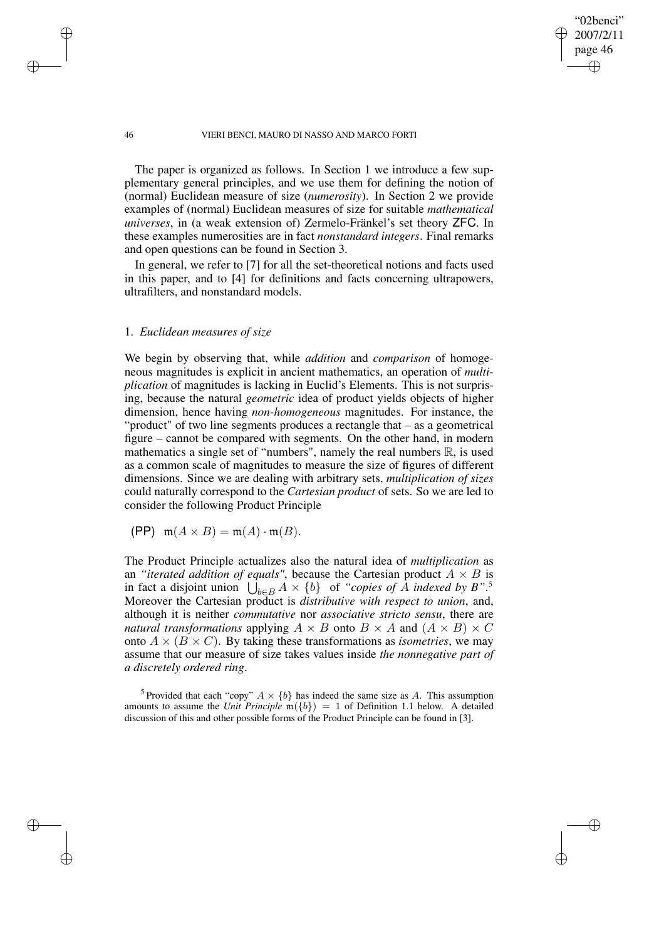"02benci" 2007/2/11 page 46

✐

✐

✐

✐

The paper is organized as follows. In Section 1 we introduce a few supplementary general principles, and we use them for defining the notion of (normal) Euclidean measure of size (*numerosity*). In Section 2 we provide examples of (normal) Euclidean measures of size for suitable *mathematical universes*, in (a weak extension of) Zermelo-Fränkel's set theory ZFC. In these examples numerosities are in fact *nonstandard integers*. Final remarks and open questions can be found in Section 3.

In general, we refer to [7] for all the set-theoretical notions and facts used in this paper, and to [4] for definitions and facts concerning ultrapowers, ultrafilters, and nonstandard models.

# 1. *Euclidean measures of size*

We begin by observing that, while *addition* and *comparison* of homogeneous magnitudes is explicit in ancient mathematics, an operation of *multiplication* of magnitudes is lacking in Euclid's Elements. This is not surprising, because the natural *geometric* idea of product yields objects of higher dimension, hence having *non-homogeneous* magnitudes. For instance, the "product" of two line segments produces a rectangle that – as a geometrical figure – cannot be compared with segments. On the other hand, in modern mathematics a single set of "numbers", namely the real numbers  $\mathbb{R}$ , is used as a common scale of magnitudes to measure the size of figures of different dimensions. Since we are dealing with arbitrary sets, *multiplication of sizes* could naturally correspond to the *Cartesian product* of sets. So we are led to consider the following Product Principle

$$
(\mathsf{PP}) \quad \mathfrak{m}(A \times B) = \mathfrak{m}(A) \cdot \mathfrak{m}(B).
$$

The Product Principle actualizes also the natural idea of *multiplication* as an *"iterated addition of equals"*, because the Cartesian product  $A \times B$  is in fact a disjoint union  $\bigcup_{b \in B} A \times \{b\}$  of *"copies of A indexed by B"*.<sup>5</sup> Moreover the Cartesian product is *distributive with respect to union*, and, although it is neither *commutative* nor *associative stricto sensu*, there are *natural transformations* applying  $A \times B$  onto  $B \times A$  and  $(A \times B) \times C$ onto  $A \times (B \times C)$ . By taking these transformations as *isometries*, we may assume that our measure of size takes values inside *the nonnegative part of a discretely ordered ring*.

<sup>5</sup> Provided that each "copy"  $A \times \{b\}$  has indeed the same size as A. This assumption amounts to assume the *Unit Principle*  $m({b}) = 1$  of Definition 1.1 below. A detailed discussion of this and other possible forms of the Product Principle can be found in [3].

✐

✐

✐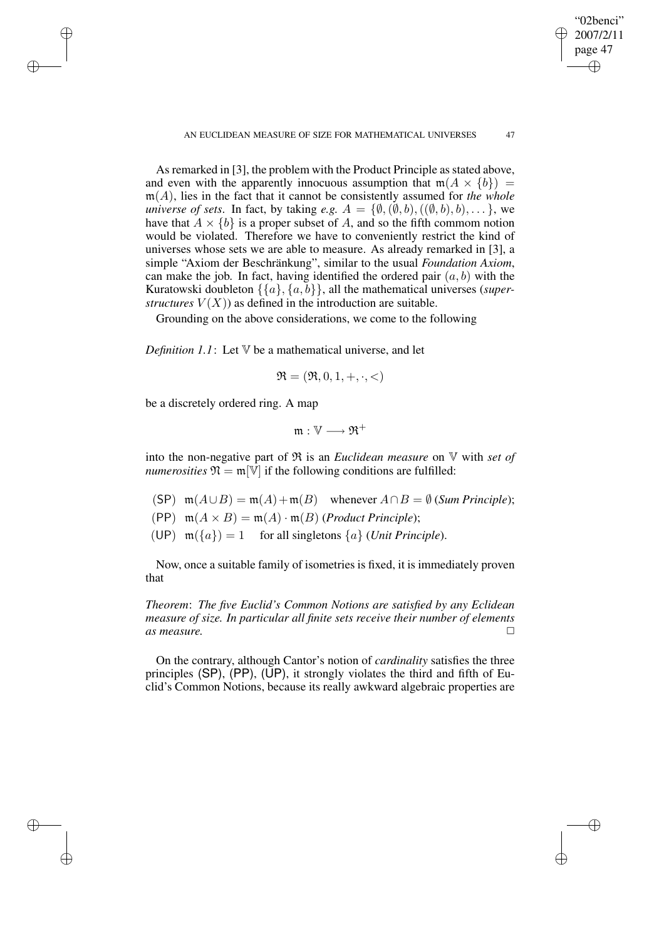As remarked in [3], the problem with the Product Principle as stated above, and even with the apparently innocuous assumption that  $m(A \times \{b\}) =$ m(A), lies in the fact that it cannot be consistently assumed for *the whole universe of sets.* In fact, by taking *e.g.*  $A = \{\emptyset, (\emptyset, b), ((\emptyset, b), b), \dots\}$ , we have that  $A \times \{b\}$  is a proper subset of A, and so the fifth commom notion would be violated. Therefore we have to conveniently restrict the kind of universes whose sets we are able to measure. As already remarked in [3], a simple "Axiom der Beschränkung", similar to the usual *Foundation Axiom*, can make the job. In fact, having identified the ordered pair  $(a, b)$  with the Kuratowski doubleton {{a}, {a, b}}, all the mathematical universes (*superstructures*  $V(X)$  as defined in the introduction are suitable.

Grounding on the above considerations, we come to the following

*Definition*  $1.1$ : Let  $V$  be a mathematical universe, and let

$$
\mathfrak{R} = (\mathfrak{R}, 0, 1, +, \cdot, <)
$$

be a discretely ordered ring. A map

✐

✐

✐

✐

$$
\mathfrak{m}:\mathbb{V}\longrightarrow\mathfrak{R}^+
$$

into the non-negative part of R is an *Euclidean measure* on V with *set of numerosities*  $\mathfrak{N} = \mathfrak{m}[\mathbb{V}]$  if the following conditions are fulfilled:

- (SP)  $m(A \cup B) = m(A) + m(B)$  whenever  $A \cap B = \emptyset$  (*Sum Principle*);
- (PP)  $m(A \times B) = m(A) \cdot m(B)$  (*Product Principle*);
- (UP)  $m({a}) = 1$  for all singletons  ${a}$  (*Unit Principle*).

Now, once a suitable family of isometries is fixed, it is immediately proven that

*Theorem*: *The five Euclid's Common Notions are satisfied by any Eclidean measure of size. In particular all finite sets receive their number of elements* as *measure*. □

On the contrary, although Cantor's notion of *cardinality* satisfies the three principles  $(SP)$ ,  $(PP)$ ,  $(UP)$ , it strongly violates the third and fifth of Euclid's Common Notions, because its really awkward algebraic properties are

"02benci" 2007/2/11 page 47

✐

✐

✐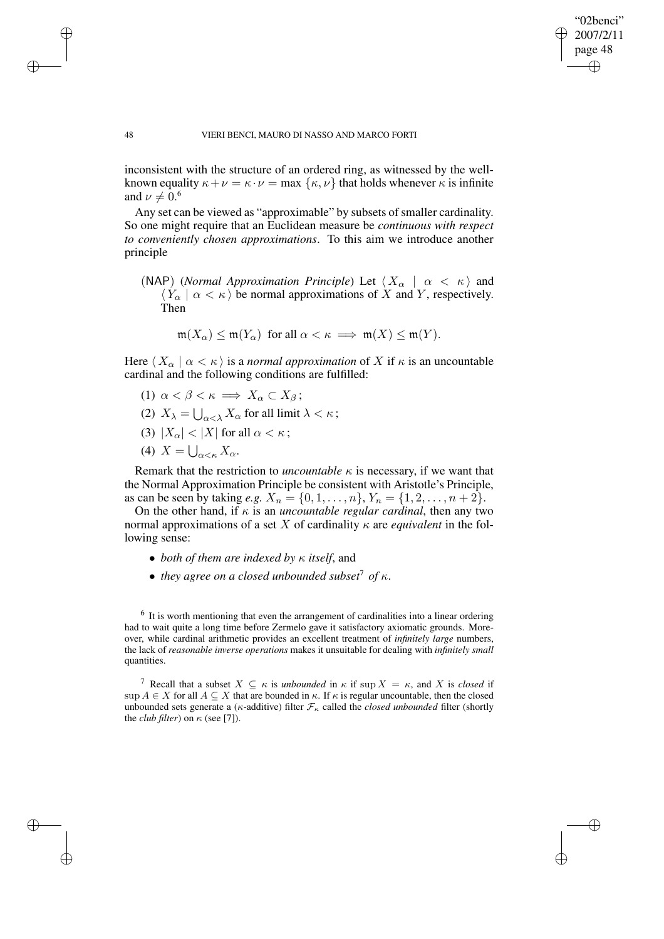✐

#### 48 VIERI BENCI, MAURO DI NASSO AND MARCO FORTI

inconsistent with the structure of an ordered ring, as witnessed by the wellknown equality  $\kappa + \nu = \kappa \cdot \nu = \max \{\kappa, \nu\}$  that holds whenever  $\kappa$  is infinite and  $\nu \neq 0.6$ 

Any set can be viewed as "approximable" by subsets of smaller cardinality. So one might require that an Euclidean measure be *continuous with respect to conveniently chosen approximations*. To this aim we introduce another principle

(NAP) (*Normal Approximation Principle*) Let  $\langle X_{\alpha} | \alpha \langle \kappa \rangle$  and  $\langle Y_{\alpha} | \alpha \langle \kappa \rangle$  be normal approximations of X and Y, respectively. Then

$$
\mathfrak{m}(X_{\alpha}) \leq \mathfrak{m}(Y_{\alpha}) \ \ \text{for all} \ \alpha < \kappa \implies \mathfrak{m}(X) \leq \mathfrak{m}(Y).
$$

Here  $\langle X_{\alpha} | \alpha \langle \kappa \rangle$  is a *normal approximation* of X if  $\kappa$  is an uncountable cardinal and the following conditions are fulfilled:

- (1)  $\alpha < \beta < \kappa \implies X_{\alpha} \subset X_{\beta}$ ;
- (2)  $X_{\lambda} = \bigcup_{\alpha < \lambda} X_{\alpha}$  for all limit  $\lambda < \kappa$ ;
- (3)  $|X_{\alpha}| < |X|$  for all  $\alpha < \kappa$ ;
- (4)  $X = \bigcup_{\alpha < \kappa} X_{\alpha}$ .

Remark that the restriction to *uncountable*  $\kappa$  is necessary, if we want that the Normal Approximation Principle be consistent with Aristotle's Principle, as can be seen by taking *e.g.*  $X_n = \{0, 1, \ldots, n\}, Y_n = \{1, 2, \ldots, n + 2\}.$ 

On the other hand, if  $\kappa$  is an *uncountable regular cardinal*, then any two normal approximations of a set X of cardinality  $\kappa$  are *equivalent* in the following sense:

- *both of them are indexed by* κ *itself*, and
- *they agree on a closed unbounded subset*<sup>7</sup> *of*  $\kappa$ .

 $<sup>6</sup>$  It is worth mentioning that even the arrangement of cardinalities into a linear ordering</sup> had to wait quite a long time before Zermelo gave it satisfactory axiomatic grounds. Moreover, while cardinal arithmetic provides an excellent treatment of *infinitely large* numbers, the lack of *reasonable inverse operations* makes it unsuitable for dealing with *infinitely small* quantities.

<sup>7</sup> Recall that a subset  $X \subseteq \kappa$  is *unbounded* in  $\kappa$  if sup  $X = \kappa$ , and X is *closed* if sup  $A \in X$  for all  $A \subseteq X$  that are bounded in  $\kappa$ . If  $\kappa$  is regular uncountable, then the closed unbounded sets generate a ( $\kappa$ -additive) filter  $\mathcal{F}_{\kappa}$  called the *closed unbounded* filter (shortly the *club filter*) on  $\kappa$  (see [7]).

✐

✐

✐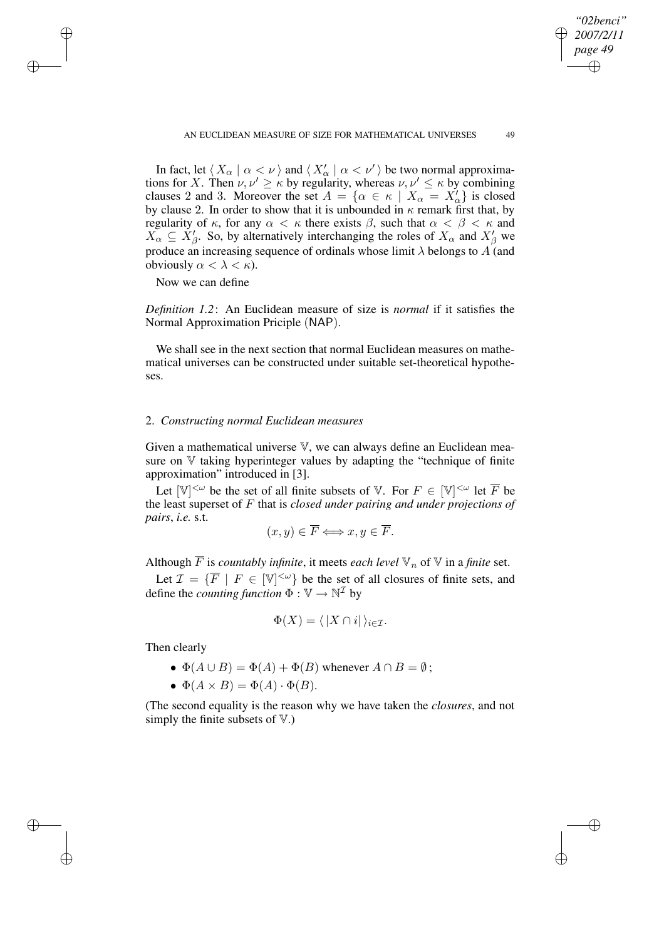In fact, let  $\langle X_\alpha | \alpha < \nu \rangle$  and  $\langle X'_\alpha | \alpha < \nu' \rangle$  be two normal approximations for X. Then  $\nu, \nu' \ge \kappa$  by regularity, whereas  $\nu, \nu' \le \kappa$  by combining clauses 2 and 3. Moreover the set  $A = \{ \alpha \in \kappa \mid X_{\alpha} = X_{\alpha}' \}$  is closed by clause 2. In order to show that it is unbounded in  $\kappa$  remark first that, by regularity of  $\kappa$ , for any  $\alpha < \kappa$  there exists  $\beta$ , such that  $\alpha < \beta < \kappa$  and  $X_{\alpha} \subseteq X_{\beta}'$ . So, by alternatively interchanging the roles of  $X_{\alpha}$  and  $X_{\beta}'$  we produce an increasing sequence of ordinals whose limit  $\lambda$  belongs to  $\Lambda$  (and obviously  $\alpha < \lambda < \kappa$ ).

Now we can define

✐

✐

✐

✐

*Definition 1.2*: An Euclidean measure of size is *normal* if it satisfies the Normal Approximation Priciple (NAP).

We shall see in the next section that normal Euclidean measures on mathematical universes can be constructed under suitable set-theoretical hypotheses.

## 2. *Constructing normal Euclidean measures*

Given a mathematical universe V, we can always define an Euclidean measure on  $V$  taking hyperinteger values by adapting the "technique of finite approximation" introduced in [3].

Let  $[\mathbb{V}]^{<\omega}$  be the set of all finite subsets of  $\mathbb{V}$ . For  $F \in [\mathbb{V}]^{<\omega}$  let  $\overline{F}$  be the least superset of F that is *closed under pairing and under projections of pairs*, *i.e.* s.t.

$$
(x, y) \in \overline{F} \Longleftrightarrow x, y \in \overline{F}.
$$

Although  $\overline{F}$  is *countably infinite*, it meets *each level*  $\mathbb{V}_n$  of  $\mathbb{V}$  in a *finite* set.

Let  $\mathcal{I} = \{ \overline{F} \mid F \in [\mathbb{V}]^{<\omega} \}$  be the set of all closures of finite sets, and define the *counting function*  $\Phi : \mathbb{V} \to \mathbb{N}^{\mathcal{I}}$  by

$$
\Phi(X) = \langle |X \cap i| \rangle_{i \in \mathcal{I}}.
$$

Then clearly

- $\Phi(A \cup B) = \Phi(A) + \Phi(B)$  whenever  $A \cap B = \emptyset$ ;
- $\Phi(A \times B) = \Phi(A) \cdot \Phi(B)$ .

(The second equality is the reason why we have taken the *closures*, and not simply the finite subsets of  $V$ .)

*"02benci" 2007/2/11 page 49*

✐

✐

✐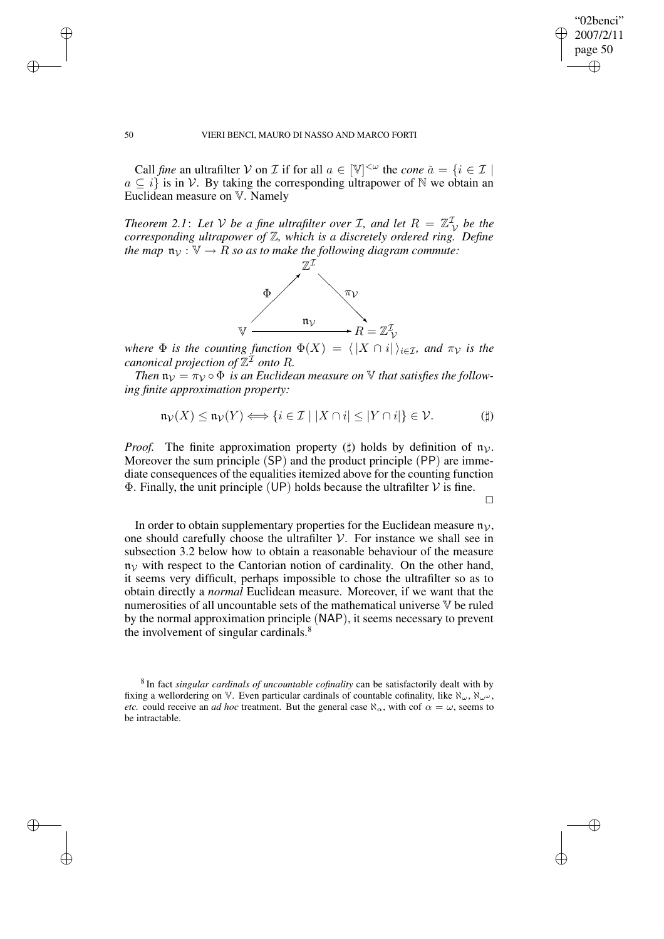✐

### 50 VIERI BENCI, MAURO DI NASSO AND MARCO FORTI

✐

✐

✐

✐

Call *fine* an ultrafilter V on *I* if for all  $a \in [\mathbb{V}]^{<\omega}$  the *cone*  $\check{a} = \{i \in \mathcal{I} \mid \mathcal{I}\}$  $a \subset i$  is in V. By taking the corresponding ultrapower of N we obtain an Euclidean measure on V. Namely

*Theorem* 2.1: Let V be a fine ultrafilter over *I*, and let  $R = \mathbb{Z}_\mathcal{V}^{\mathcal{I}}$  be the *corresponding ultrapower of* Z*, which is a discretely ordered ring. Define the* map  $\mathfrak{n}_v : \mathbb{V} \to \mathbb{R}$  so as to make the following diagram commute:



*where*  $\Phi$  *is the counting function*  $\Phi(X) = \langle |X \cap i| \rangle_{i \in \mathcal{I}}$ *, and*  $\pi_{\mathcal{V}}$  *is the canonical projection of* Z <sup>I</sup> *onto* R*.*

*Then*  $\mathfrak{n}_\mathcal{V} = \pi_\mathcal{V} \circ \Phi$  *is an Euclidean measure on*  $\mathbb V$  *that satisfies the following finite approximation property:*

$$
\mathfrak{n}_{\mathcal{V}}(X) \le \mathfrak{n}_{\mathcal{V}}(Y) \Longleftrightarrow \{i \in \mathcal{I} \mid |X \cap i| \le |Y \cap i|\} \in \mathcal{V}.
$$
 (†)

*Proof.* The finite approximation property ( $\sharp$ ) holds by definition of  $\mathfrak{n}_\mathcal{V}$ . Moreover the sum principle (SP) and the product principle (PP) are immediate consequences of the equalities itemized above for the counting function  $\Phi$ . Finally, the unit principle (UP) holds because the ultrafilter V is fine.

 $\Box$ 

In order to obtain supplementary properties for the Euclidean measure  $\mathfrak{n}_{\mathcal{V}}$ , one should carefully choose the ultrafilter  $V$ . For instance we shall see in subsection 3.2 below how to obtain a reasonable behaviour of the measure  $n<sub>V</sub>$  with respect to the Cantorian notion of cardinality. On the other hand, it seems very difficult, perhaps impossible to chose the ultrafilter so as to obtain directly a *normal* Euclidean measure. Moreover, if we want that the numerosities of all uncountable sets of the mathematical universe V be ruled by the normal approximation principle (NAP), it seems necessary to prevent the involvement of singular cardinals.<sup>8</sup>

<sup>8</sup> In fact *singular cardinals of uncountable cofinality* can be satisfactorily dealt with by fixing a wellordering on V. Even particular cardinals of countable cofinality, like  $\aleph_{\omega}$ ,  $\aleph_{\omega^{\omega}}$ , *etc.* could receive an *ad hoc* treatment. But the general case  $\aleph_{\alpha}$ , with cof  $\alpha = \omega$ , seems to be intractable.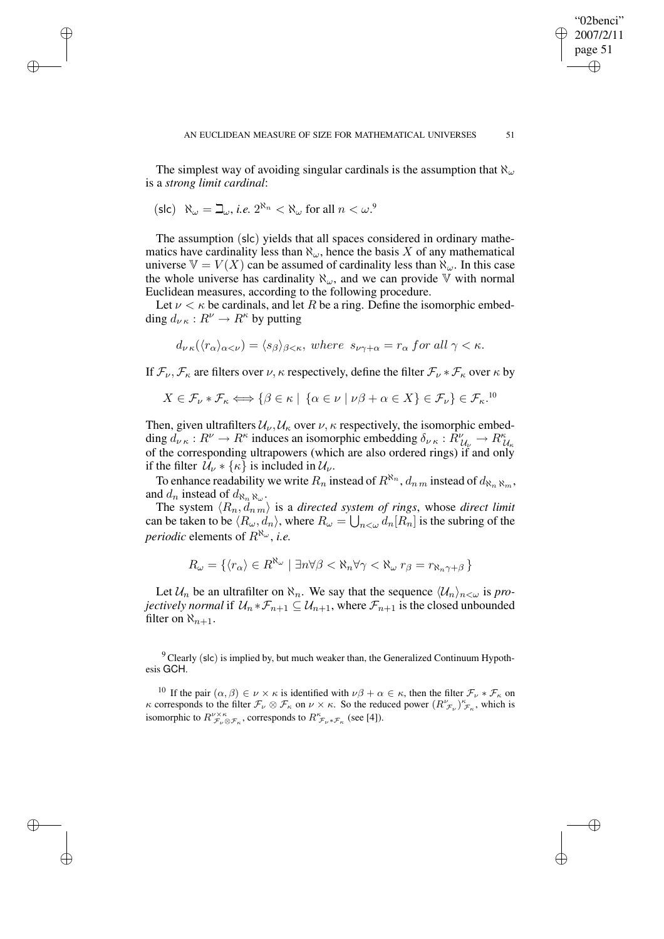The simplest way of avoiding singular cardinals is the assumption that  $\aleph_{\omega}$ is a *strong limit cardinal*:

$$
(\mathsf{slc}) \quad \aleph_\omega = \beth_\omega, \, i.e. \; 2^{\aleph_n} < \aleph_\omega \text{ for all } n < \omega^9
$$

✐

✐

✐

✐

The assumption (slc) yields that all spaces considered in ordinary mathematics have cardinality less than  $\aleph_{\omega}$ , hence the basis X of any mathematical universe  $V = V(X)$  can be assumed of cardinality less than  $\aleph_{\omega}$ . In this case the whole universe has cardinality  $\aleph_{\omega}$ , and we can provide V with normal Euclidean measures, according to the following procedure.

Let  $\nu < \kappa$  be cardinals, and let R be a ring. Define the isomorphic embedding  $d_{\nu\kappa}: R^{\nu} \to R^{\kappa}$  by putting

$$
d_{\nu\kappa}(\langle r_{\alpha}\rangle_{\alpha<\nu})=\langle s_{\beta}\rangle_{\beta<\kappa}, where \ s_{\nu\gamma+\alpha}=r_{\alpha} for all \ \gamma<\kappa.
$$

If  $\mathcal{F}_{\nu}, \mathcal{F}_{\kappa}$  are filters over  $\nu, \kappa$  respectively, define the filter  $\mathcal{F}_{\nu} * \mathcal{F}_{\kappa}$  over  $\kappa$  by

$$
X \in \mathcal{F}_{\nu} * \mathcal{F}_{\kappa} \Longleftrightarrow \{ \beta \in \kappa \mid \{ \alpha \in \nu \mid \nu \beta + \alpha \in X \} \in \mathcal{F}_{\nu} \} \in \mathcal{F}_{\kappa}.^{10}
$$

Then, given ultrafilters  $\mathcal{U}_{\nu}$ ,  $\mathcal{U}_{\kappa}$  over  $\nu$ ,  $\kappa$  respectively, the isomorphic embedding  $d_{\nu} \kappa : R^{\nu} \to R^{\kappa}$  induces an isomorphic embedding  $\delta_{\nu} \kappa : R^{\nu}_{U_{\kappa}} \to R^{\kappa}_{U_{\kappa}}$ of the corresponding ultrapowers (which are also ordered rings) if and only if the filter  $\mathcal{U}_{\nu} * \{\kappa\}$  is included in  $\mathcal{U}_{\nu}$ .

To enhance readability we write  $R_n$  instead of  $R^{\aleph_n}$ ,  $d_{n,m}$  instead of  $d_{\aleph_n \aleph_m}$ , and  $d_n$  instead of  $d_{\aleph_n \aleph_\omega}$ .

The system  $\langle R_n, \overline{d_n} \rangle$  is a *directed system of rings*, whose *direct* limit can be taken to be  $\langle R_\omega, d_n \rangle$ , where  $R_\omega = \bigcup_{n<\omega} d_n[R_n]$  is the subring of the *periodic* elements of  $R^{\aleph_\omega}$ , *i.e.* 

$$
R_{\omega} = \{ \langle r_{\alpha} \rangle \in R^{\aleph_{\omega}} \mid \exists n \forall \beta < \aleph_n \forall \gamma < \aleph_{\omega} \; r_{\beta} = r_{\aleph_n \gamma + \beta} \}
$$

Let  $\mathcal{U}_n$  be an ultrafilter on  $\aleph_n$ . We say that the sequence  $\langle \mathcal{U}_n \rangle_{n \leq \omega}$  is *projectively normal* if  $\mathcal{U}_n * \mathcal{F}_{n+1} \subseteq \mathcal{U}_{n+1}$ , where  $\mathcal{F}_{n+1}$  is the closed unbounded filter on  $\aleph_{n+1}$ .

 $9^9$  Clearly (slc) is implied by, but much weaker than, the Generalized Continuum Hypothesis GCH.

<sup>10</sup> If the pair  $(\alpha, \beta) \in \nu \times \kappa$  is identified with  $\nu\beta + \alpha \in \kappa$ , then the filter  $\mathcal{F}_{\nu} * \mathcal{F}_{\kappa}$  on κ corresponds to the filter  $\mathcal{F}_{\nu} \otimes \mathcal{F}_{\kappa}$  on  $\nu \times \kappa$ . So the reduced power  $(R^{\nu}_{\mathcal{F}_{\nu}})^{\kappa}_{\mathcal{F}_{\kappa}}$ , which is isomorphic to  $R^{\nu\times\kappa}_{\mathcal{F}_{\nu}\otimes\mathcal{F}_{\kappa}}$ , corresponds to  $R^{\kappa}_{\mathcal{F}_{\nu}\ast\mathcal{F}_{\kappa}}$  (see [4]).

"02benci" 2007/2/11 page 51

✐

✐

✐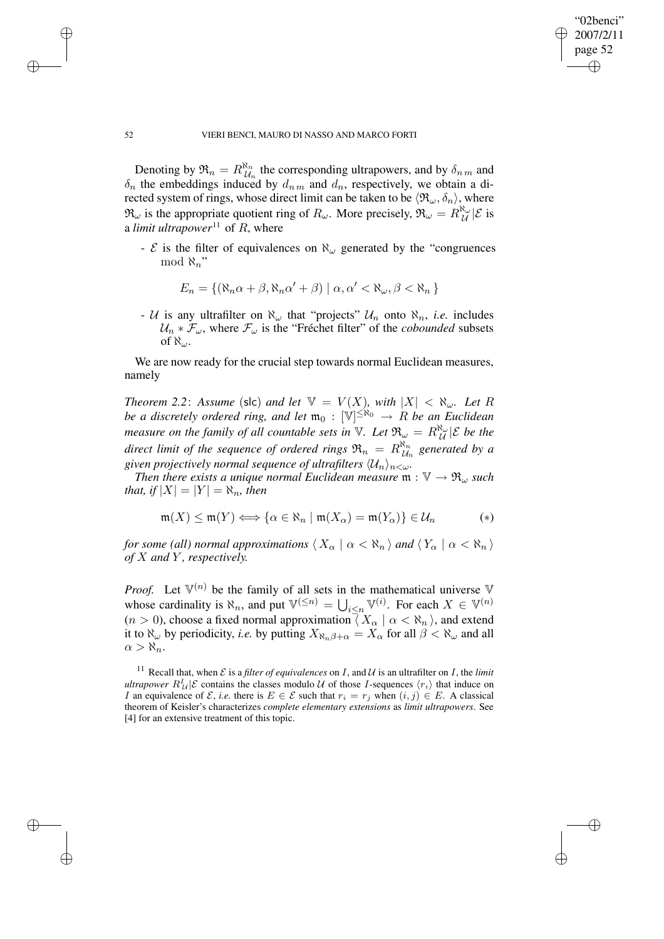✐

## 52 VIERI BENCI, MAURO DI NASSO AND MARCO FORTI

Denoting by  $\mathfrak{R}_n = R^{\aleph_n}_{\mathcal{U}_n}$  $\mathcal{U}_n^{\mathbf{v}_n}$  the corresponding ultrapowers, and by  $\delta_{n,m}$  and  $\delta_n$  the embeddings induced by  $d_{nm}$  and  $d_n$ , respectively, we obtain a directed system of rings, whose direct limit can be taken to be  $\langle \mathfrak{R}_{\omega}, \delta_n \rangle$ , where  $\mathfrak{R}_{\omega}$  is the appropriate quotient ring of  $R_{\omega}$ . More precisely,  $\mathfrak{R}_{\omega} = R_{\mathcal{U}}^{\aleph_{\omega}}|\mathcal{E}$  is a *limit ultrapower*<sup>11</sup> of  $R$ , where

-  $\mathcal E$  is the filter of equivalences on  $\aleph_{\omega}$  generated by the "congruences" mod  $\aleph_n$ "

$$
E_n = \{ (\aleph_n \alpha + \beta, \aleph_n \alpha' + \beta) \mid \alpha, \alpha' < \aleph_\omega, \beta < \aleph_n \}
$$

- U is any ultrafilter on  $\aleph_{\omega}$  that "projects"  $U_n$  onto  $\aleph_n$ , *i.e.* includes  $U_n * \mathcal{F}_{\omega}$ , where  $\mathcal{F}_{\omega}$  is the "Fréchet filter" of the *cobounded* subsets of  $\aleph_{\omega}$ .

We are now ready for the crucial step towards normal Euclidean measures, namely

*Theorem* 2.2: *Assume* (slc) *and let*  $V = V(X)$ *, with*  $|X| < \aleph_{\omega}$ *. Let* R *be a discretely ordered ring, and let*  $\mathfrak{m}_0$  :  $[\mathbb{V}]^{\leq \aleph_0} \to R$  *be an* Euclidean *measure on the family of all countable sets in*  $V$ *. Let*  $\mathfrak{R}_{\omega} = R_{\mathcal{U}}^{\aleph_{\omega}}|\mathcal{E}$  *be the direct limit of the sequence of ordered rings*  $\mathfrak{R}_n = R_{\mathcal{U}}^{\aleph_n}$  $\mathcal{U}_n$  generated by a *given projectively normal sequence of ultrafilters*  $\langle \mathcal{U}_n \rangle_{n < \omega}$ .

*Then there exists a unique normal Euclidean measure*  $m : \mathbb{V} \to \mathfrak{R}_{\omega}$  *such that, if*  $|X| = |Y| = \aleph_n$ *, then* 

$$
\mathfrak{m}(X) \le \mathfrak{m}(Y) \Longleftrightarrow \{ \alpha \in \aleph_n \mid \mathfrak{m}(X_\alpha) = \mathfrak{m}(Y_\alpha) \} \in \mathcal{U}_n \tag{*}
$$

*for some (all) normal approximations*  $\langle X_{\alpha} | \alpha \langle \mathcal{R}_n \rangle$  *and*  $\langle Y_{\alpha} | \alpha \langle \mathcal{R}_n \rangle$ *of* X *and* Y *, respectively.*

*Proof.* Let  $V^{(n)}$  be the family of all sets in the mathematical universe V whose cardinality is  $\aleph_n$ , and put  $\mathbb{V}^{(\leq n)} = \bigcup_{i \leq n} \mathbb{V}^{(i)}$ . For each  $X \in \mathbb{V}^{(n)}$  $(n > 0)$ , choose a fixed normal approximation  $\overline{\langle X_{\alpha} | \alpha < \aleph_n \rangle}$ , and extend it to  $\aleph_{\omega}$  by periodicity, *i.e.* by putting  $X_{\aleph_n\beta+\alpha} = X_{\alpha}$  for all  $\beta < \aleph_{\omega}$  and all  $\alpha > \aleph_n$ .

<sup>11</sup> Recall that, when  $\mathcal E$  is a *filter of equivalences* on  $I$ , and  $\mathcal U$  is an ultrafilter on  $I$ , the *limit ultrapower*  $R^I_{\mathcal{U}}|\mathcal{E}$  contains the classes modulo U of those I-sequences  $\langle r_i \rangle$  that induce on I an equivalence of E, *i.e.* there is  $E \in \mathcal{E}$  such that  $r_i = r_j$  when  $(i, j) \in E$ . A classical theorem of Keisler's characterizes *complete elementary extensions* as *limit ultrapowers*. See [4] for an extensive treatment of this topic.

✐

✐

✐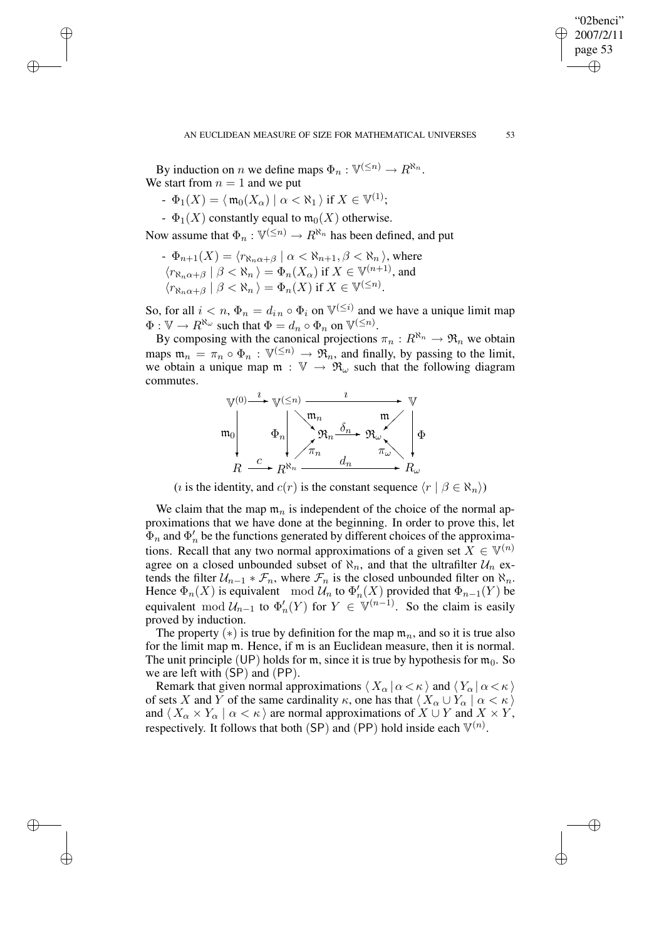"02benci" 2007/2/11 page 53

✐

✐

✐

✐

By induction on *n* we define maps  $\Phi_n : \mathbb{V}^{(\leq n)} \to \mathbb{R}^{\aleph_n}$ . We start from  $n = 1$  and we put

-  $\Phi_1(X) = \langle \, \mathfrak{m}_0(X_\alpha) \mid \alpha < \aleph_1 \, \rangle$  if  $X \in \mathbb{V}^{(1)}$ ;

✐

✐

✐

✐

 $-\Phi_1(X)$  constantly equal to  $\mathfrak{m}_0(X)$  otherwise.

Now assume that  $\Phi_n : \mathbb{V}^{(\leq n)} \to R^{\aleph_n}$  has been defined, and put

 $-\Phi_{n+1}(X) = \langle r_{\aleph_n\alpha+\beta} \mid \alpha < \aleph_{n+1}, \beta < \aleph_n \rangle$ , where  $\langle r_{\aleph_n\alpha+\beta} \mid \beta < \aleph_n \rangle = \Phi_n(X_\alpha)$  if  $X \in \mathbb{V}^{(n+1)}$ , and  $\langle r_{\aleph_n\alpha+\beta} \mid \beta < \aleph_n \rangle = \Phi_n(X)$  if  $X \in \mathbb{V}^{(\leq n)}$ .

So, for all  $i < n$ ,  $\Phi_n = d_{in} \circ \Phi_i$  on  $\mathbb{V}^{(\leq i)}$  and we have a unique limit map  $\Phi: \mathbb{V} \to R^{\aleph_\omega}$  such that  $\Phi = d_n \circ \Phi_n$  on  $\mathbb{V}^{(\leq n)}$ .

By composing with the canonical projections  $\pi_n : R^{\aleph_n} \to \mathfrak{R}_n$  we obtain maps  $\mathfrak{m}_n = \pi_n \circ \Phi_n : \mathbb{V}^{(\leq n)} \to \mathfrak{R}_n$ , and finally, by passing to the limit, we obtain a unique map  $m : V \to \mathfrak{R}_{\omega}$  such that the following diagram commutes.



(*i* is the identity, and  $c(r)$  is the constant sequence  $\langle r | \beta \in \aleph_n \rangle$ )

We claim that the map  $\mathfrak{m}_n$  is independent of the choice of the normal approximations that we have done at the beginning. In order to prove this, let  $\Phi_n$  and  $\Phi'_n$  be the functions generated by different choices of the approximations. Recall that any two normal approximations of a given set  $X \in \mathbb{V}^{(n)}$ agree on a closed unbounded subset of  $\aleph_n$ , and that the ultrafilter  $\mathcal{U}_n$  extends the filter  $U_{n-1} * \mathcal{F}_n$ , where  $\mathcal{F}_n$  is the closed unbounded filter on  $\aleph_n$ . Hence  $\Phi_n(X)$  is equivalent mod  $\mathcal{U}_n$  to  $\Phi'_n(X)$  provided that  $\Phi_{n-1}(Y)$  be equivalent mod  $\mathcal{U}_{n-1}$  to  $\Phi'_{n}(Y)$  for  $Y \in \mathbb{V}^{(n-1)}$ . So the claim is easily proved by induction.

The property (\*) is true by definition for the map  $m_n$ , and so it is true also for the limit map m. Hence, if m is an Euclidean measure, then it is normal. The unit principle (UP) holds for m, since it is true by hypothesis for  $m_0$ . So we are left with (SP) and (PP).

Remark that given normal approximations  $\langle X_\alpha | \alpha \langle \kappa \rangle$  and  $\langle Y_\alpha | \alpha \langle \kappa \rangle$ of sets X and Y of the same cardinality  $\kappa$ , one has that  $\langle X_\alpha \cup Y_\alpha | \alpha < \kappa \rangle$ and  $\langle X_\alpha \times Y_\alpha | \alpha \langle \kappa \rangle$  are normal approximations of  $X \cup Y$  and  $X \times Y$ , respectively. It follows that both (SP) and (PP) hold inside each  $\mathbb{V}^{(n)}$ .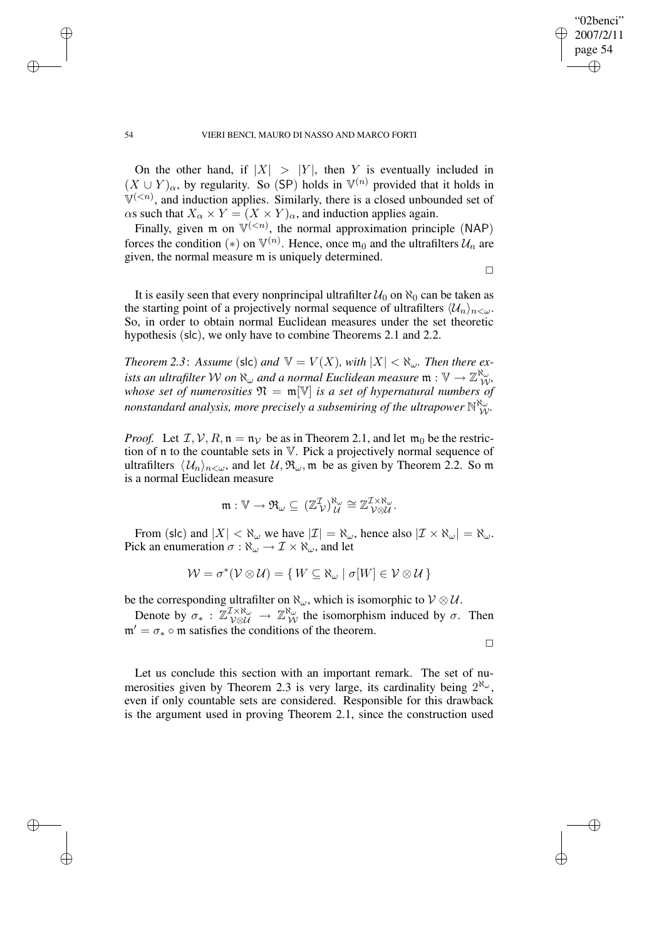On the other hand, if  $|X| > |Y|$ , then Y is eventually included in  $(X \cup Y)_{\alpha}$ , by regularity. So (SP) holds in  $\mathbb{V}^{(n)}$  provided that it holds in  $\mathbb{V}^{(, and induction applies. Similarly, there is a closed unbounded set of$  $\alpha$ s such that  $X_{\alpha} \times Y = (X \times Y)_{\alpha}$ , and induction applies again.

Finally, given  $m$  on  $\mathbb{V}^{(< n)}$ , the normal approximation principle (NAP) forces the condition (\*) on  $\mathbb{V}^{(n)}$ . Hence, once  $\mathfrak{m}_0$  and the ultrafilters  $\mathcal{U}_n$  are given, the normal measure m is uniquely determined.

 $\Box$ 

"02benci" 2007/2/11 page 54

✐

✐

It is easily seen that every nonprincipal ultrafilter  $U_0$  on  $\aleph_0$  can be taken as the starting point of a projectively normal sequence of ultrafilters  $\langle \mathcal{U}_n \rangle_{n \leq \omega}$ . So, in order to obtain normal Euclidean measures under the set theoretic hypothesis (slc), we only have to combine Theorems 2.1 and 2.2.

*Theorem* 2.3: *Assume* (slc) *and*  $V = V(X)$ *, with*  $|X| < \aleph_{\omega}$ *. Then there ex*ists an ultrafilter  $\mathcal W$  on  $\aleph_\omega$  and a normal Euclidean measure  $\frak m:\mathbb V\to\mathbb Z_{\mathcal W}^{\aleph_\omega}$ , *whose set of numerosities*  $\mathfrak{N} = \mathfrak{m}[\mathbb{V}]$  *is a set of hypernatural numbers of nonstandard analysis, more precisely a subsemiring of the ultrapower*  $\mathbb{N}_{\mathcal{W}}^{\aleph_{\omega}}$ .

*Proof.* Let  $\mathcal{I}, \mathcal{V}, R, \mathfrak{n} = \mathfrak{n}_{\mathcal{V}}$  be as in Theorem 2.1, and let  $\mathfrak{m}_0$  be the restriction of n to the countable sets in V. Pick a projectively normal sequence of ultrafilters  $\langle U_n \rangle_{n \langle \omega}$ , and let  $\mathcal{U}, \mathfrak{R}_{\omega}$ , m be as given by Theorem 2.2. So m is a normal Euclidean measure

$$
\mathfrak{m}:\mathbb{V}\rightarrow \mathfrak{R}_{\omega}\subseteq (\mathbb{Z}_{\mathcal{V}}^{\mathcal{I}})^{\aleph_{\omega}}_{\mathcal{U}}\cong \mathbb{Z}_{\mathcal{V}\otimes \mathcal{U}}^{\mathcal{I}\times\aleph_{\omega}}.
$$

From (slc) and  $|X| < \aleph_{\omega}$  we have  $|\mathcal{I}| = \aleph_{\omega}$ , hence also  $|\mathcal{I} \times \aleph_{\omega}| = \aleph_{\omega}$ . Pick an enumeration  $\sigma : \aleph_{\omega} \to \mathcal{I} \times \aleph_{\omega}$ , and let

$$
\mathcal{W} = \sigma^*(\mathcal{V} \otimes \mathcal{U}) = \{ W \subseteq \aleph_{\omega} \mid \sigma[W] \in \mathcal{V} \otimes \mathcal{U} \}
$$

be the corresponding ultrafilter on  $\aleph_{\omega}$ , which is isomorphic to  $\mathcal{V} \otimes \mathcal{U}$ .

Denote by  $\sigma_* : \mathbb{Z}^{\mathcal{I} \times \aleph_{\omega}}_{\mathcal{V} \otimes \mathcal{U}} \to \mathbb{Z}^{\aleph_{\omega}}_{\mathcal{W}}$  the isomorphism induced by  $\sigma$ . Then  $m' = \sigma_* \circ m$  satisfies the conditions of the theorem.

 $\Box$ 

✐

✐

Let us conclude this section with an important remark. The set of numerosities given by Theorem 2.3 is very large, its cardinality being  $2^{\aleph_{\omega}}$ , even if only countable sets are considered. Responsible for this drawback is the argument used in proving Theorem 2.1, since the construction used



✐

✐

✐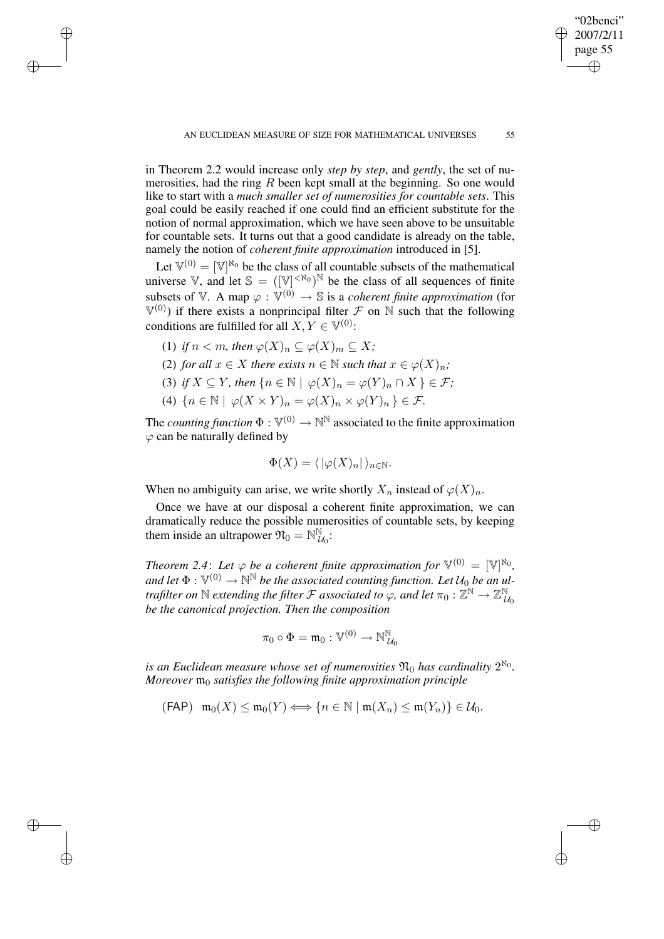in Theorem 2.2 would increase only *step by step*, and *gently*, the set of numerosities, had the ring  $R$  been kept small at the beginning. So one would like to start with a *much smaller set of numerosities for countable sets*. This goal could be easily reached if one could find an efficient substitute for the notion of normal approximation, which we have seen above to be unsuitable for countable sets. It turns out that a good candidate is already on the table, namely the notion of *coherent finite approximation* introduced in [5].

Let  $\mathbb{V}^{(0)} = [\mathbb{V}]^{\aleph_0}$  be the class of all countable subsets of the mathematical universe V, and let  $\mathbb{S} = ([\mathbb{V}]^{<\aleph_0})^{\mathbb{N}}$  be the class of all sequences of finite subsets of V. A map  $\varphi : V^{(0)} \to \mathbb{S}$  is a *coherent finite approximation* (for  $V^{(0)}$ ) if there exists a nonprincipal filter F on N such that the following conditions are fulfilled for all  $X, Y \in \mathbb{V}^{(0)}$ :

(1) *if*  $n < m$ , *then*  $\varphi(X)_n \subseteq \varphi(X)_m \subseteq X$ ;

✐

✐

✐

✐

- (2) *for all*  $x \in X$  *there exists*  $n \in \mathbb{N}$  *such that*  $x \in \varphi(X)_n$ ;
- (3) *if*  $X \subseteq Y$ *, then*  $\{n \in \mathbb{N} \mid \varphi(X)_n = \varphi(Y)_n \cap X\} \in \mathcal{F}$ ;
- (4)  $\{n \in \mathbb{N} \mid \varphi(X \times Y)_n = \varphi(X)_n \times \varphi(Y)_n\} \in \mathcal{F}.$

The *counting function*  $\Phi : \mathbb{V}^{(0)} \to \mathbb{N}^{\mathbb{N}}$  associated to the finite approximation  $\varphi$  can be naturally defined by

$$
\Phi(X) = \langle |\varphi(X)_n| \rangle_{n \in \mathbb{N}}.
$$

When no ambiguity can arise, we write shortly  $X_n$  instead of  $\varphi(X)_n$ .

Once we have at our disposal a coherent finite approximation, we can dramatically reduce the possible numerosities of countable sets, by keeping them inside an ultrapower  $\mathfrak{N}_0 = \mathbb{N}^{\mathbb{N}}_k$  $\overset{\tiny \text{M}}{\mathcal{U}_0}\cdot$ 

*Theorem* 2.4: Let  $\varphi$  be a coherent finite approximation for  $\mathbb{V}^{(0)} = [\mathbb{V}]^{\aleph_0}$ ,  $\mathbb{R}^N$  and let  $\Phi : \mathbb{V}^{(0)} \to \mathbb{N}^{\mathbb{N}}$  be the associated counting function. Let  $\mathcal{U}_0$  be an ul*trafilter on*  $\mathbb N$  *extending the filter*  $\mathcal F$  *associated to*  $\varphi$ *, and let*  $\pi_0: \mathbb Z^{\mathbb N} \to \mathbb Z^{\mathbb N}_l$  $\mathcal{U}_0$ *be the canonical projection. Then the composition*

$$
\pi_0 \circ \Phi = \mathfrak{m}_0 : \mathbb{V}^{(0)} \to \mathbb{N}_{\mathcal{U}_0}^{\mathbb{N}}
$$

is an Euclidean measure whose set of numerosities  $\mathfrak{N}_0$  has cardinality  $2^{\aleph_0}$ . *Moreover*  $m_0$  *satisfies the following finite approximation principle* 

 $(\mathsf{FAP}) \mathsf{m}_0(X) \leq \mathsf{m}_0(Y) \Longleftrightarrow \{n \in \mathbb{N} \mid \mathfrak{m}(X_n) \leq \mathfrak{m}(Y_n)\} \in \mathcal{U}_0.$ 

"02benci" 2007/2/11 page 55

✐

✐

✐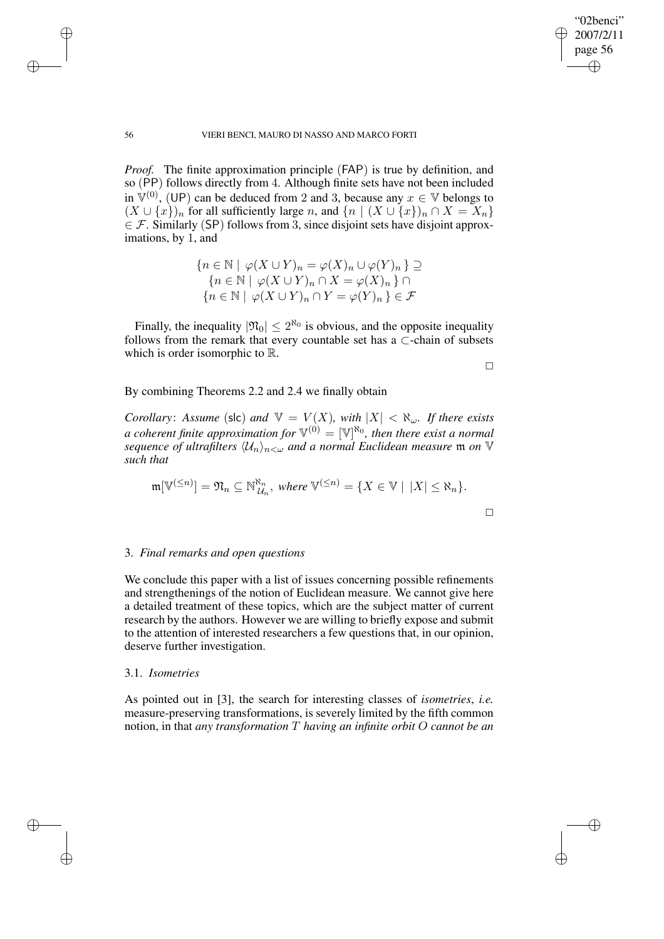✐

## 56 VIERI BENCI, MAURO DI NASSO AND MARCO FORTI

*Proof.* The finite approximation principle (FAP) is true by definition, and so (PP) follows directly from 4. Although finite sets have not been included in  $\mathbb{V}^{(0)}$ , (UP) can be deduced from 2 and 3, because any  $x \in \mathbb{V}$  belongs to  $(X \cup \{x\})_n$  for all sufficiently large n, and  $\{n \mid (X \cup \{x\})_n \cap X = X_n\}$  $\in \mathcal{F}$ . Similarly (SP) follows from 3, since disjoint sets have disjoint approximations, by 1, and

$$
\{n \in \mathbb{N} \mid \varphi(X \cup Y)_n = \varphi(X)_n \cup \varphi(Y)_n\} \supseteq
$$
  

$$
\{n \in \mathbb{N} \mid \varphi(X \cup Y)_n \cap X = \varphi(X)_n\} \cap
$$
  

$$
\{n \in \mathbb{N} \mid \varphi(X \cup Y)_n \cap Y = \varphi(Y)_n\} \in \mathcal{F}
$$

Finally, the inequality  $|\mathfrak{N}_0| \leq 2^{\aleph_0}$  is obvious, and the opposite inequality follows from the remark that every countable set has a ⊂-chain of subsets which is order isomorphic to R.

 $\Box$ 

# By combining Theorems 2.2 and 2.4 we finally obtain

*Corollary: Assume* (slc) *and*  $V = V(X)$ *, with*  $|X| < \aleph_\omega$ *. If there exists*  $a$  *coherent finite approximation for*  $\mathbb{V}^{(0)} = [\mathbb{V}]^{\aleph_0}$ *, then there exist a normal sequence of ultrafilters*  $\langle \mathcal{U}_n \rangle_{n \leq \omega}$  *and a normal Euclidean measure* m *on* V *such that*

$$
\mathfrak{m}[\mathbb{V}^{(\leq n)}] = \mathfrak{N}_n \subseteq \mathbb{N}_{\mathcal{U}_n}^{\mathfrak{N}_n}, \text{ where } \mathbb{V}^{(\leq n)} = \{X \in \mathbb{V} \mid |X| \leq \mathfrak{N}_n\}.
$$

## 3. *Final remarks and open questions*

We conclude this paper with a list of issues concerning possible refinements and strengthenings of the notion of Euclidean measure. We cannot give here a detailed treatment of these topics, which are the subject matter of current research by the authors. However we are willing to briefly expose and submit to the attention of interested researchers a few questions that, in our opinion, deserve further investigation.

## 3.1. *Isometries*

As pointed out in [3], the search for interesting classes of *isometries*, *i.e.* measure-preserving transformations, is severely limited by the fifth common notion, in that *any transformation* T *having an infinite orbit* O *cannot be an*

✐

✐

✐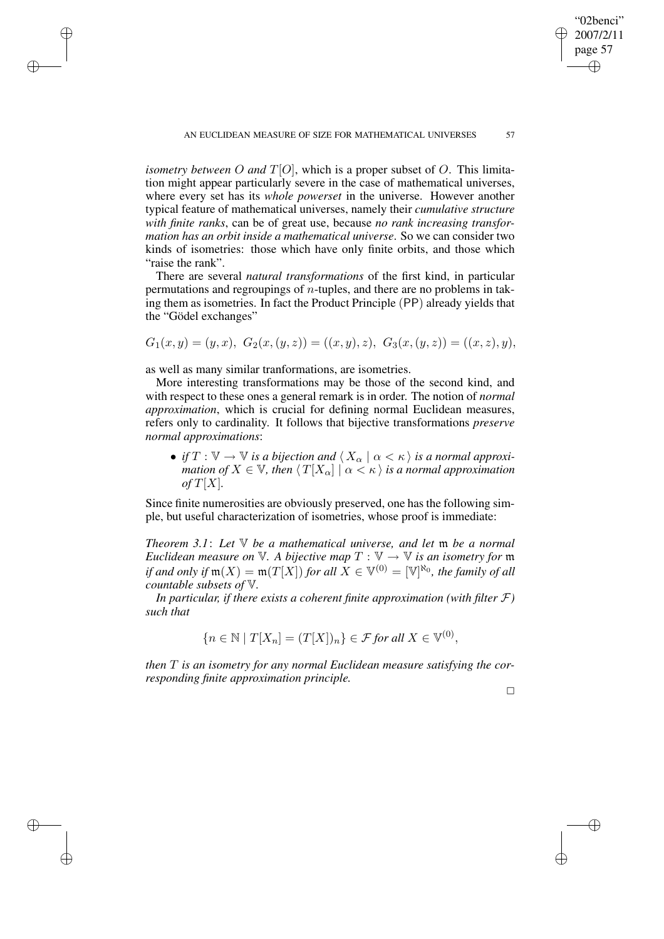*isometry between* O *and*  $T[O]$ , which is a proper subset of O. This limitation might appear particularly severe in the case of mathematical universes, where every set has its *whole powerset* in the universe. However another typical feature of mathematical universes, namely their *cumulative structure with finite ranks*, can be of great use, because *no rank increasing transformation has an orbit inside a mathematical universe*. So we can consider two kinds of isometries: those which have only finite orbits, and those which "raise the rank".

There are several *natural transformations* of the first kind, in particular permutations and regroupings of  $n$ -tuples, and there are no problems in taking them as isometries. In fact the Product Principle (PP) already yields that the "Gödel exchanges"

 $G_1(x,y) = (y, x), G_2(x,(y, z)) = ((x, y), z), G_3(x,(y, z)) = ((x, z), y),$ 

as well as many similar tranformations, are isometries.

✐

✐

✐

✐

More interesting transformations may be those of the second kind, and with respect to these ones a general remark is in order. The notion of *normal approximation*, which is crucial for defining normal Euclidean measures, refers only to cardinality. It follows that bijective transformations *preserve normal approximations*:

• *if*  $T : \mathbb{V} \to \mathbb{V}$  *is a bijection and*  $\langle X_\alpha | \alpha \langle \kappa \rangle$  *is a normal approximation of*  $X \in V$ *, then*  $\langle T[X_{\alpha}] | \alpha \langle \kappa \rangle$  *is a normal approximation*  $of T[X]$ .

Since finite numerosities are obviously preserved, one has the following simple, but useful characterization of isometries, whose proof is immediate:

*Theorem 3.1*: *Let* V *be a mathematical universe, and let* m *be a normal Euclidean measure on*  $V$ *. A bijective map*  $T : V \rightarrow V$  *is an isometry for* m  $if$  and only  $if$   $\mathfrak{m}(X) = \mathfrak{m}(T[X])$  *for all*  $X \in \mathbb{V}^{(0)} = [\mathbb{V}]^{\aleph_0}$ , the family of all *countable subsets of* V*.*

*In particular, if there exists a coherent finite approximation (with filter* F*) such that*

$$
\{n \in \mathbb{N} \mid T[X_n] = (T[X])_n\} \in \mathcal{F} \text{ for all } X \in \mathbb{V}^{(0)},
$$

*then* T *is an isometry for any normal Euclidean measure satisfying the corresponding finite approximation principle.*

 $\Box$ 

✐

✐

"02benci" 2007/2/11 page 57

✐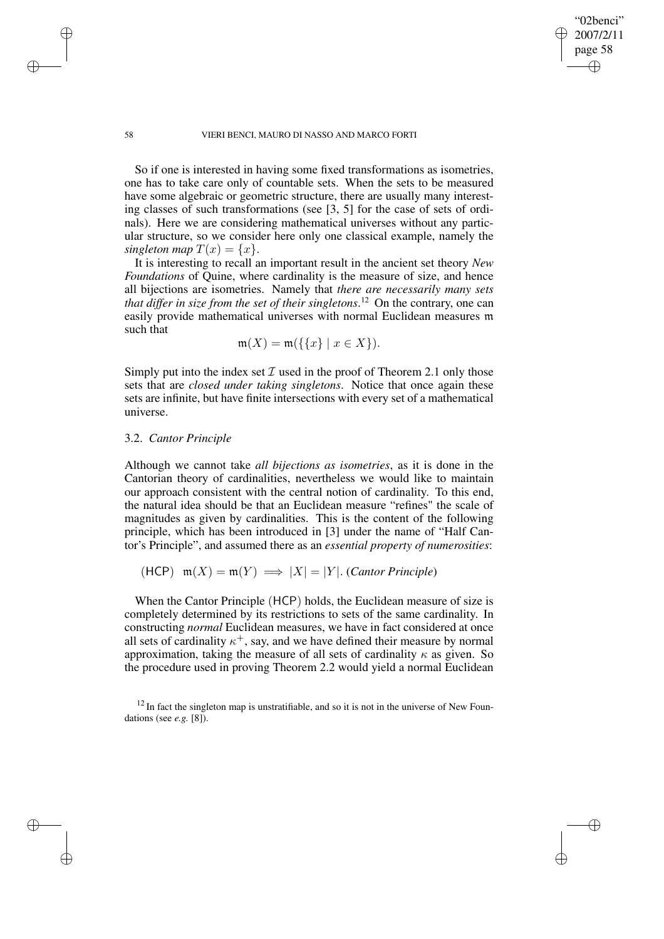"02benci" 2007/2/11 page 58

✐

✐

✐

✐

So if one is interested in having some fixed transformations as isometries, one has to take care only of countable sets. When the sets to be measured have some algebraic or geometric structure, there are usually many interesting classes of such transformations (see [3, 5] for the case of sets of ordinals). Here we are considering mathematical universes without any particular structure, so we consider here only one classical example, namely the *singleton map*  $T(x) = \{x\}.$ 

It is interesting to recall an important result in the ancient set theory *New Foundations* of Quine, where cardinality is the measure of size, and hence all bijections are isometries. Namely that *there are necessarily many sets that differ in size from the set of their singletons*. <sup>12</sup> On the contrary, one can easily provide mathematical universes with normal Euclidean measures m such that

$$
\mathfrak{m}(X) = \mathfrak{m}(\{\{x\} \mid x \in X\}).
$$

Simply put into the index set  $\mathcal I$  used in the proof of Theorem 2.1 only those sets that are *closed under taking singletons*. Notice that once again these sets are infinite, but have finite intersections with every set of a mathematical universe.

## 3.2. *Cantor Principle*

Although we cannot take *all bijections as isometries*, as it is done in the Cantorian theory of cardinalities, nevertheless we would like to maintain our approach consistent with the central notion of cardinality. To this end, the natural idea should be that an Euclidean measure "refines" the scale of magnitudes as given by cardinalities. This is the content of the following principle, which has been introduced in [3] under the name of "Half Cantor's Principle", and assumed there as an *essential property of numerosities*:

(HCP) 
$$
\mathfrak{m}(X) = \mathfrak{m}(Y) \implies |X| = |Y|
$$
. (Cantor Principle)

When the Cantor Principle (HCP) holds, the Euclidean measure of size is completely determined by its restrictions to sets of the same cardinality. In constructing *normal* Euclidean measures, we have in fact considered at once all sets of cardinality  $\kappa^+$ , say, and we have defined their measure by normal approximation, taking the measure of all sets of cardinality  $\kappa$  as given. So the procedure used in proving Theorem 2.2 would yield a normal Euclidean

 $12$  In fact the singleton map is unstratifiable, and so it is not in the universe of New Foundations (see *e.g.* [8]).

✐

✐

✐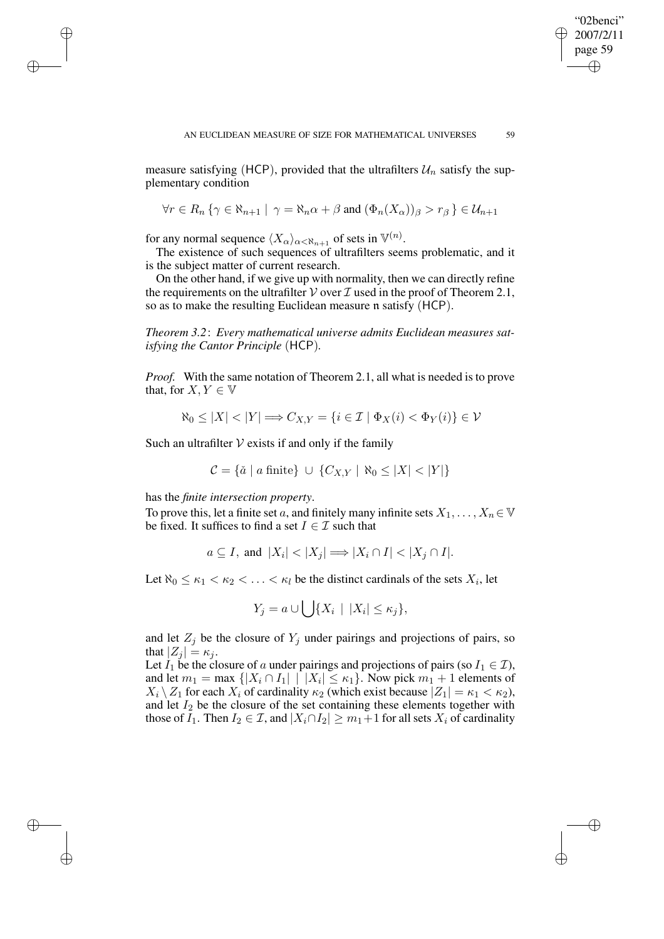"02benci" 2007/2/11 page 59

✐

✐

✐

✐

measure satisfying (HCP), provided that the ultrafilters  $\mathcal{U}_n$  satisfy the supplementary condition

$$
\forall r \in R_n \{ \gamma \in \aleph_{n+1} \mid \gamma = \aleph_n \alpha + \beta \text{ and } (\Phi_n(X_\alpha))_\beta > r_\beta \} \in \mathcal{U}_{n+1}
$$

for any normal sequence  $\langle X_{\alpha}\rangle_{\alpha<\aleph_{n+1}}$  of sets in  $\mathbb{V}^{(n)}$ .

✐

✐

✐

✐

The existence of such sequences of ultrafilters seems problematic, and it is the subject matter of current research.

On the other hand, if we give up with normality, then we can directly refine the requirements on the ultrafilter  $V$  over  $\mathcal I$  used in the proof of Theorem 2.1, so as to make the resulting Euclidean measure n satisfy (HCP).

*Theorem 3.2*: *Every mathematical universe admits Euclidean measures satisfying the Cantor Principle* (HCP)*.*

*Proof.* With the same notation of Theorem 2.1, all what is needed is to prove that, for  $X, Y \in V$ 

$$
\aleph_0 \le |X| < |Y| \Longrightarrow C_{X,Y} = \{ i \in \mathcal{I} \mid \Phi_X(i) < \Phi_Y(i) \} \in \mathcal{V}
$$

Such an ultrafilter  $V$  exists if and only if the family

$$
\mathcal{C} = \{ \check{a} \mid a \text{ finite} \} \cup \{ C_{X,Y} \mid \aleph_0 \le |X| < |Y| \}
$$

has the *finite intersection property*.

To prove this, let a finite set a, and finitely many infinite sets  $X_1, \ldots, X_n \in \mathbb{V}$ be fixed. It suffices to find a set  $I \in \mathcal{I}$  such that

$$
a \subseteq I
$$
, and  $|X_i| < |X_j| \Longrightarrow |X_i \cap I| < |X_j \cap I|$ .

Let  $\aleph_0 \leq \kappa_1 < \kappa_2 < \ldots < \kappa_l$  be the distinct cardinals of the sets  $X_i$ , let

$$
Y_j = a \cup \bigcup \{X_i \mid |X_i| \leq \kappa_j\},\
$$

and let  $Z_j$  be the closure of  $Y_j$  under pairings and projections of pairs, so that  $|Z_i| = \kappa_i$ .

Let  $I_1$  be the closure of a under pairings and projections of pairs (so  $I_1 \in \mathcal{I}$ ), and let  $m_1 = \max \left\{ |X_i \cap I_1| \mid |X_i| \leq \kappa_1 \right\}$ . Now pick  $m_1 + 1$  elements of  $X_i \setminus Z_1$  for each  $X_i$  of cardinality  $\kappa_2$  (which exist because  $|Z_1| = \kappa_1 < \kappa_2$ ), and let  $I_2$  be the closure of the set containing these elements together with those of  $I_1$ . Then  $I_2 \in \mathcal{I}$ , and  $|X_i \cap I_2| \geq m_1+1$  for all sets  $X_i$  of cardinality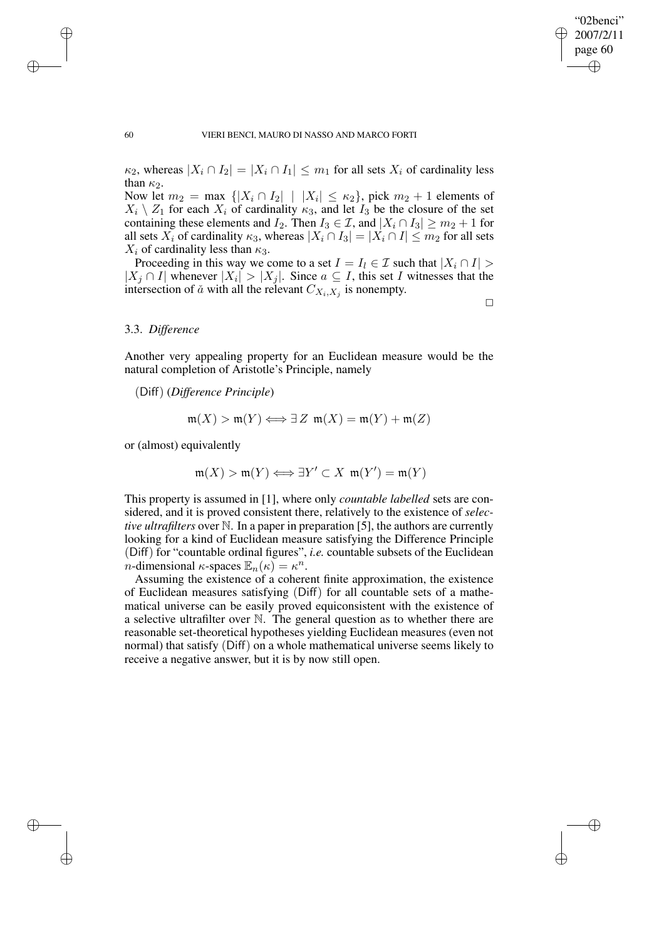$\kappa_2$ , whereas  $|X_i \cap I_2| = |X_i \cap I_1| \leq m_1$  for all sets  $X_i$  of cardinality less than  $\kappa_2$ .

Now let  $m_2 = \max \{ |X_i \cap I_2| \mid |X_i| \leq \kappa_2 \}$ , pick  $m_2 + 1$  elements of  $X_i \setminus Z_1$  for each  $X_i$  of cardinality  $\kappa_3$ , and let  $I_3$  be the closure of the set containing these elements and  $I_2$ . Then  $I_3 \in \mathcal{I}$ , and  $|X_i \cap I_3| \ge m_2 + 1$  for all sets  $X_i$  of cardinality  $\kappa_3$ , whereas  $|X_i \cap I_3| = |X_i \cap I| \leq m_2$  for all sets  $X_i$  of cardinality less than  $\kappa_3$ .

Proceeding in this way we come to a set  $I = I_l \in \mathcal{I}$  such that  $|X_i \cap I|$  $|X_j \cap I|$  whenever  $|X_i| > |X_j|$ . Since  $a \subseteq I$ , this set I witnesses that the intersection of  $\check{a}$  with all the relevant  $C_{X_i,X_j}$  is nonempty.

 $\Box$ 

# 3.3. *Difference*

Another very appealing property for an Euclidean measure would be the natural completion of Aristotle's Principle, namely

(Diff) (*Difference Principle*)

$$
\mathfrak{m}(X) > \mathfrak{m}(Y) \Longleftrightarrow \exists Z \mathfrak{m}(X) = \mathfrak{m}(Y) + \mathfrak{m}(Z)
$$

or (almost) equivalently

$$
\mathfrak{m}(X) > \mathfrak{m}(Y) \Longleftrightarrow \exists Y' \subset X \ \mathfrak{m}(Y') = \mathfrak{m}(Y)
$$

This property is assumed in [1], where only *countable labelled* sets are considered, and it is proved consistent there, relatively to the existence of *selective ultrafilters* over N. In a paper in preparation [5], the authors are currently looking for a kind of Euclidean measure satisfying the Difference Principle (Diff) for "countable ordinal figures", *i.e.* countable subsets of the Euclidean *n*-dimensional  $\kappa$ -spaces  $\mathbb{E}_n(\kappa) = \kappa^n$ .

Assuming the existence of a coherent finite approximation, the existence of Euclidean measures satisfying (Diff) for all countable sets of a mathematical universe can be easily proved equiconsistent with the existence of a selective ultrafilter over N. The general question as to whether there are reasonable set-theoretical hypotheses yielding Euclidean measures (even not normal) that satisfy (Diff) on a whole mathematical universe seems likely to receive a negative answer, but it is by now still open.

✐

✐

✐

✐

# "02benci" 2007/2/11 page 60 ✐ ✐

✐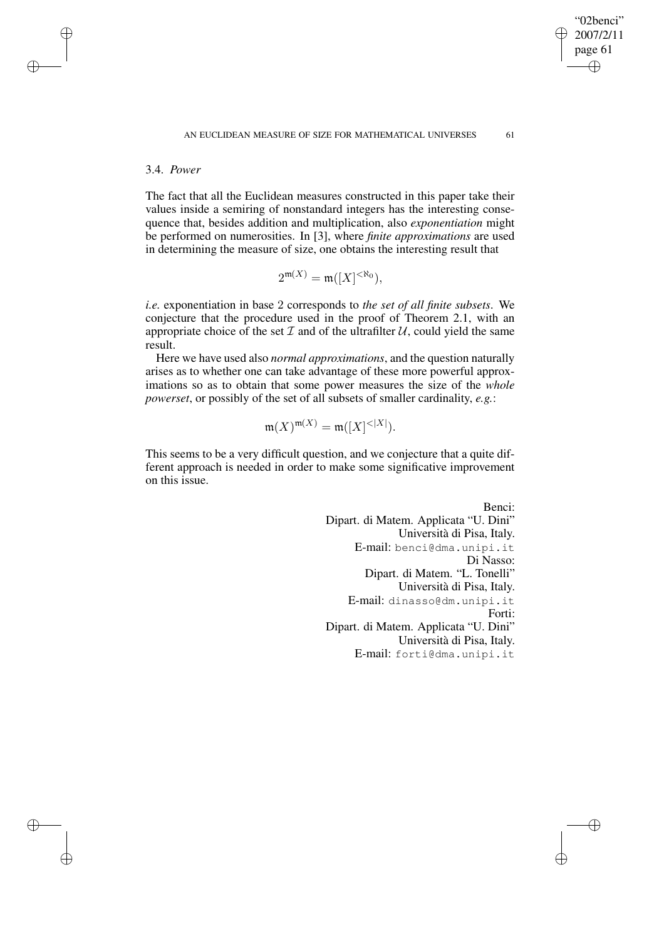# 3.4. *Power*

✐

✐

✐

✐

The fact that all the Euclidean measures constructed in this paper take their values inside a semiring of nonstandard integers has the interesting consequence that, besides addition and multiplication, also *exponentiation* might be performed on numerosities. In [3], where *finite approximations* are used in determining the measure of size, one obtains the interesting result that

$$
2^{\mathfrak{m}(X)} = \mathfrak{m}([X]^{<\aleph_0}),
$$

*i.e.* exponentiation in base 2 corresponds to *the set of all finite subsets*. We conjecture that the procedure used in the proof of Theorem 2.1, with an appropriate choice of the set  $\mathcal I$  and of the ultrafilter  $\mathcal U$ , could yield the same result.

Here we have used also *normal approximations*, and the question naturally arises as to whether one can take advantage of these more powerful approximations so as to obtain that some power measures the size of the *whole powerset*, or possibly of the set of all subsets of smaller cardinality, *e.g.*:

$$
\mathfrak{m}(X)^{\mathfrak{m}(X)} = \mathfrak{m}([X]^{<|X|}).
$$

This seems to be a very difficult question, and we conjecture that a quite different approach is needed in order to make some significative improvement on this issue.

> Benci: Dipart. di Matem. Applicata "U. Dini" Università di Pisa, Italy. E-mail: benci@dma.unipi.it Di Nasso: Dipart. di Matem. "L. Tonelli" Università di Pisa, Italy. E-mail: dinasso@dm.unipi.it Forti: Dipart. di Matem. Applicata "U. Dini" Università di Pisa, Italy. E-mail: forti@dma.unipi.it

"02benci" 2007/2/11 page 61

✐

✐

✐